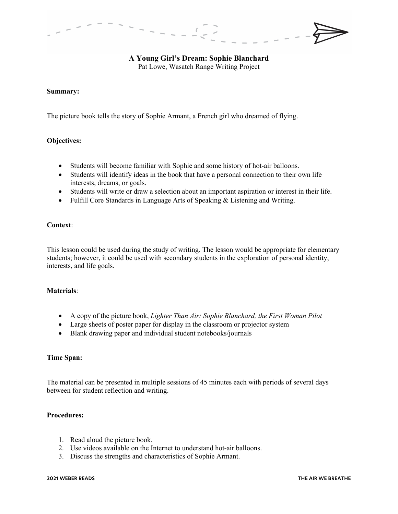# **A Young Girl's Dream: Sophie Blanchard**

Pat Lowe, Wasatch Range Writing Project

# **Summary:**

The picture book tells the story of Sophie Armant, a French girl who dreamed of flying.

# **Objectives:**

- Students will become familiar with Sophie and some history of hot-air balloons.
- Students will identify ideas in the book that have a personal connection to their own life interests, dreams, or goals.
- Students will write or draw a selection about an important aspiration or interest in their life.
- Fulfill Core Standards in Language Arts of Speaking & Listening and Writing.

#### **Context**:

This lesson could be used during the study of writing. The lesson would be appropriate for elementary students; however, it could be used with secondary students in the exploration of personal identity, interests, and life goals.

## **Materials**:

- A copy of the picture book, *Lighter Than Air: Sophie Blanchard, the First Woman Pilot*
- Large sheets of poster paper for display in the classroom or projector system
- Blank drawing paper and individual student notebooks/journals

#### **Time Span:**

The material can be presented in multiple sessions of 45 minutes each with periods of several days between for student reflection and writing.

# **Procedures:**

- 1. Read aloud the picture book.
- 2. Use videos available on the Internet to understand hot-air balloons.
- 3. Discuss the strengths and characteristics of Sophie Armant.